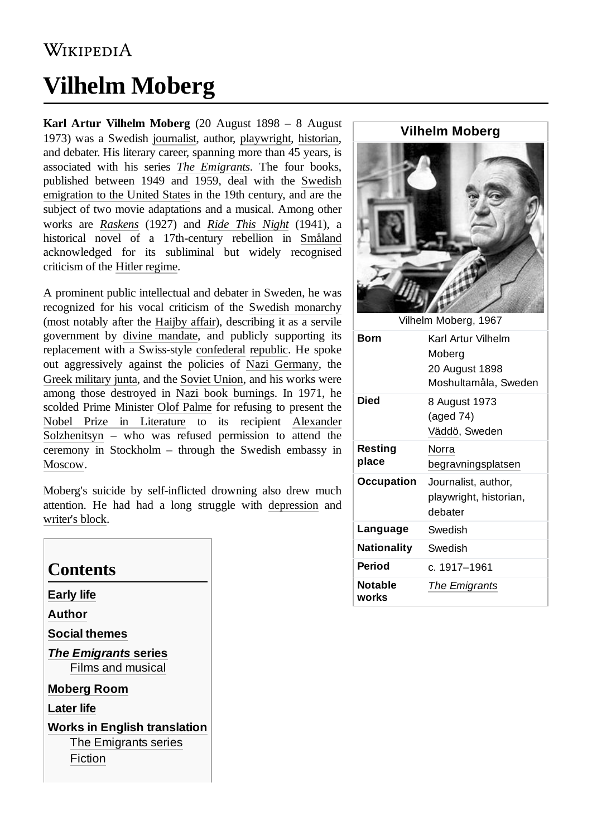#### **WIKIPEDIA**

# **Vilhelm Moberg**

**Karl Artur Vilhelm Moberg** (20 August 1898 – 8 August 1973) was a Swedish [journalist](https://en.wikipedia.org/wiki/Journalist), author, [playwright,](https://en.wikipedia.org/wiki/Playwright) [historian,](https://en.wikipedia.org/wiki/Historian) and debater. His literary career, spanning more than 45 years, is associated with his series *The [Emigrants](https://en.wikipedia.org/wiki/The_Emigrants_(novels))*. The four books, [published between 1949 and 1959, deal](https://en.wikipedia.org/wiki/Swedish_emigration_to_the_United_States) with the Swedish emigration to the United States in the 19th century, and are the subject of two movie adaptations and a musical. Among other works are *[Raskens](https://en.wikipedia.org/wiki/Raskens)* (1927) and *Ride This [Night](https://en.wikipedia.org/wiki/Ride_This_Night_(novel))* (1941), a historical novel of a 17th-century rebellion in [Småland](https://en.wikipedia.org/wiki/Sm%C3%A5land) acknowledged for its subliminal but widely recognised criticism of the [Hitler regime.](https://en.wikipedia.org/wiki/Nazi_Germany)

A prominent public intellectual and debater in Sweden, he was recognized for his vocal criticism of the [Swedish monarchy](https://en.wikipedia.org/wiki/Swedish_monarchy) (most notably after the [Haijby affair\)](https://en.wikipedia.org/wiki/Haijby_affair), describing it as a servile government by divine [mandate,](https://en.wikipedia.org/wiki/Divine_mandate) and publicly supporting its replacement with a Swiss-style [confederal](https://en.wikipedia.org/wiki/Confederal) [republic.](https://en.wikipedia.org/wiki/Republic) He spoke out aggressively against the policies of Nazi [Germany](https://en.wikipedia.org/wiki/Nazi_Germany), the [Greek military junta](https://en.wikipedia.org/wiki/Greek_military_junta), and the [Soviet Union,](https://en.wikipedia.org/wiki/Soviet_Union) and his works were among those destroyed in Nazi [book burnings](https://en.wikipedia.org/wiki/Nazi_book_burnings). In 1971, he scolded Prime Minister Olof [Palme](https://en.wikipedia.org/wiki/Olof_Palme) for refusing to present the Nobel Prize [in Literature](https://en.wikipedia.org/wiki/Nobel_Prize_in_Literature) to its recipient Alexander Solzhenitsyn – who was [refused permission to attend the](https://en.wikipedia.org/wiki/Alexander_Solzhenitsyn) ceremony in Stockholm – through the Swedish embassy in [Moscow.](https://en.wikipedia.org/wiki/Moscow)

Moberg's suicide by self-inflicted drowning also drew much attention. He had had a long struggle with [depression](https://en.wikipedia.org/wiki/Depression_(mood)) and [writer's block](https://en.wikipedia.org/wiki/Writer%27s_block).

| Contents                                                               |  |
|------------------------------------------------------------------------|--|
| <b>Early life</b>                                                      |  |
| Author                                                                 |  |
| <b>Social themes</b>                                                   |  |
| The Emigrants series<br><b>Films and musical</b>                       |  |
| <b>Moberg Room</b>                                                     |  |
| <b>Later life</b>                                                      |  |
| <b>Works in English translation</b><br>The Emigrants series<br>Fiction |  |

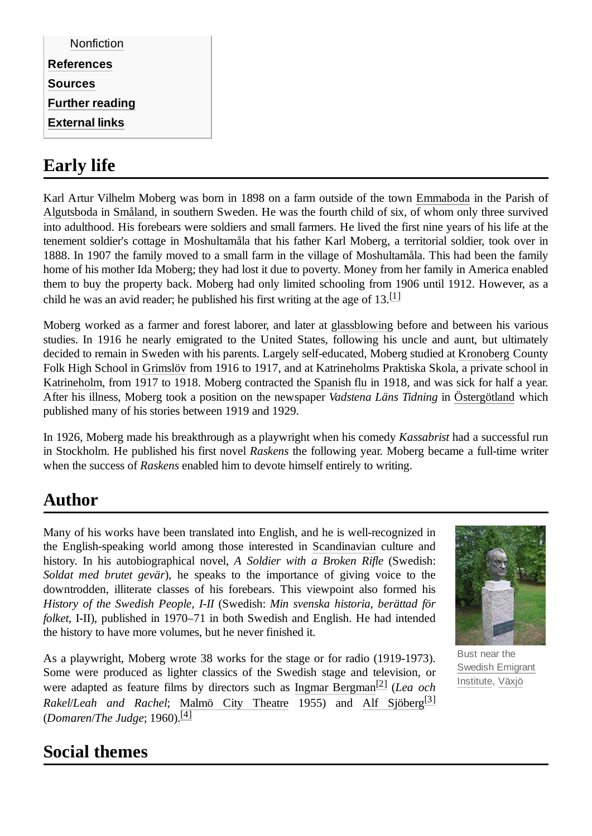| <b>References</b><br><b>Sources</b> |
|-------------------------------------|
|                                     |
|                                     |
| <b>Further reading</b>              |
| <b>External links</b>               |

# <span id="page-1-0"></span>**Early life**

Karl Artur Vilhelm Moberg was born in 1898 on a farm outside of the town [Emmaboda](https://en.wikipedia.org/wiki/Emmaboda) in the Parish of [Algutsboda](https://en.wikipedia.org/wiki/Algutsboda,_Sweden) in [Småland](https://en.wikipedia.org/wiki/Sm%C3%A5land), in southern Sweden. He was the fourth child of six, of whom only three survived into adulthood. His forebears were soldiers and small farmers. He lived the first nine years of his life at the tenement soldier's cottage in Moshultamåla that his father Karl Moberg, a territorial soldier, took over in 1888. In 1907 the family moved to a small farm in the village of Moshultamåla. This had been the family home of his mother Ida Moberg; they had lost it due to poverty. Money from her family in America enabled them to buy the property back. Moberg had only limited schooling from 1906 until 1912. However, as a child he was an avid reader; he published his first writing at the age of  $13$ .<sup>[\[1\]](#page-3-5)</sup>

Moberg worked as a farmer and forest laborer, and later at [glassblowing](https://en.wikipedia.org/wiki/Glassblowing) before and between his various studies. In 1916 he nearly emigrated to the United States, following his uncle and aunt, but ultimately decided to remain in Sweden with his parents. Largely self-educated, Moberg studied at [Kronoberg](https://en.wikipedia.org/wiki/Kronoberg) County Folk High School in [Grimslöv](https://en.wikipedia.org/wiki/Grimsl%C3%B6v) from 1916 to 1917, and at Katrineholms Praktiska Skola, a private school in [Katrineholm,](https://en.wikipedia.org/wiki/Katrineholm) from 1917 to 1918. Moberg contracted the [Spanish flu](https://en.wikipedia.org/wiki/Spanish_flu) in 1918, and was sick for half a year. After his illness, Moberg took a position on the newspaper *Vadstena Läns Tidning* in [Östergötland](https://en.wikipedia.org/wiki/%C3%96sterg%C3%B6tland) which published many of his stories between 1919 and 1929.

In 1926, Moberg made his breakthrough as a playwright when his comedy *Kassabrist* had a successful run in Stockholm. He published his first novel *Raskens* the following year. Moberg became a full-time writer when the success of *Raskens* enabled him to devote himself entirely to writing.

# <span id="page-1-1"></span>**Author**

Many of his works have been translated into English, and he is well-recognized in the English-speaking world among those interested in [Scandinavian](https://en.wikipedia.org/wiki/Scandinavia) culture and history. In his autobiographical novel, *A Soldier with a Broken Rifle* (Swedish: *Soldat med brutet gevär*), he speaks to the importance of giving voice to the downtrodden, illiterate classes of his forebears. This viewpoint also formed his *History of the Swedish People, I-II* (Swedish: *Min svenska historia, berättad för folket*, I-II), published in 1970–71 in both Swedish and English. He had intended the history to have more volumes, but he never finished it.

As a playwright, Moberg wrote 38 works for the stage or for radio (1919-1973). Some were produced as lighter classics of the Swedish stage and television, or were adapted as feature films by directors such as Ingmar [Bergman](https://en.wikipedia.org/wiki/Ingmar_Bergman) [\[2\]](#page-3-6) (*Lea och Rakel*/*Leah and Rachel*; [Malmö City Theatre](https://en.wikipedia.org/wiki/Malm%C3%B6_City_Theatre) 1955) and Alf [Sjöberg](https://en.wikipedia.org/wiki/Alf_Sj%C3%B6berg) [\[3\]](#page-3-7) (*Domaren*/*The Judge*; 1960). [\[4\]](#page-3-8)



Bust near the Swedish [Emigrant](https://en.wikipedia.org/wiki/Swedish_Emigrant_Institute) Institute, [Växjö](https://en.wikipedia.org/wiki/V%C3%A4xj%C3%B6)

# <span id="page-1-2"></span>**Social themes**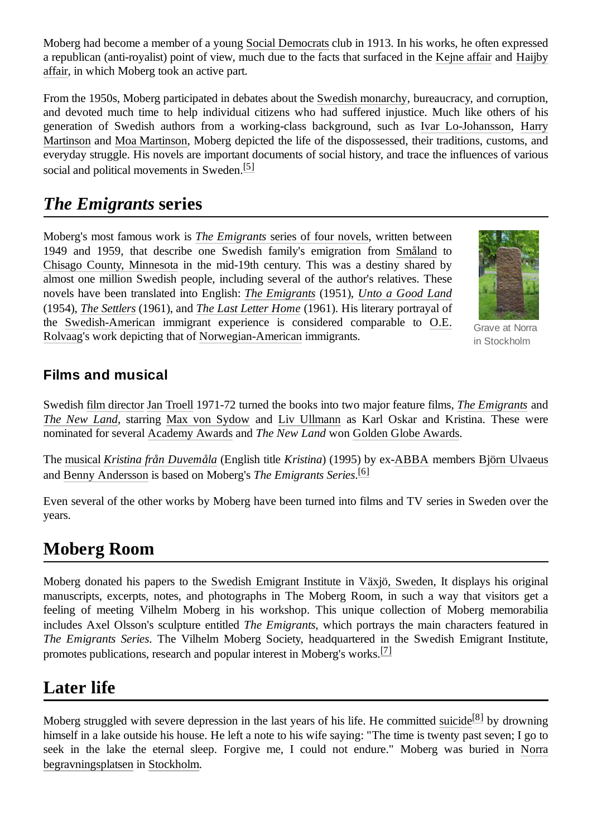Moberg had become a member of a young [Social Democrats](https://en.wikipedia.org/wiki/Social_democracy) club in 1913. In his works, he often expressed a republican (anti-royalist) point of view, much due to the facts that surfaced in the [Kejne affair](https://en.wikipedia.org/wiki/Kejne_affair) and Haijby [affair, in which Moberg took an active part.](https://en.wikipedia.org/wiki/Haijby_affair)

From the 1950s, Moberg participated in debates about the [Swedish monarchy,](https://en.wikipedia.org/wiki/Swedish_monarchy) bureaucracy, and corruption, and devoted much time to help individual citizens who had suffered injustice. Much like others of his generation of Swedish authors from a working-class background, such as Ivar [Lo-Johansson,](https://en.wikipedia.org/wiki/Ivar_Lo-Johansson) Harry Martinson [and Moa Martinson, Moberg depicted the](https://en.wikipedia.org/wiki/Harry_Martinson) life of the dispossessed, their traditions, customs, and everyday struggle. His novels are important documents of social history, and trace the influences of various social and political movements in Sweden.<sup>[\[5\]](#page-3-9)</sup>

### <span id="page-2-0"></span>*The Emigrants* **series**

Moberg's most famous work is *The [Emigrants](https://en.wikipedia.org/wiki/The_Emigrants_(novels))* series of four novels, written between 1949 and 1959, that describe one Swedish family's emigration from [Småland](https://en.wikipedia.org/wiki/Sm%C3%A5land) to [Chisago County, Minnesota](https://en.wikipedia.org/wiki/Chisago_County,_Minnesota) in the mid-19th century. This was a destiny shared by almost one million Swedish people, including several of the author's relatives. These novels have been translated into English: *The [Emigrants](https://en.wikipedia.org/wiki/The_Emigrants_(Swedish_novel))* (1951), *[Unto a Good Land](https://en.wikipedia.org/wiki/Unto_a_Good_Land)* (1954), *[The Settlers](https://en.wikipedia.org/wiki/The_Settlers_(novel))* (1961), and *The Last Letter [Home](https://en.wikipedia.org/wiki/The_Last_Letter_Home)* (1961). His literary portrayal of the [Swedish-American](https://en.wikipedia.org/wiki/Swedish-American) immigrant experience is considered comparable to O.E. Rolvaag's work depicting that of [Norwegian-American immigrants.](https://en.wikipedia.org/wiki/O.E._Rolvaag)



Grave at Norra in Stockholm

#### <span id="page-2-1"></span>**Films and musical**

Swedish [film director](https://en.wikipedia.org/wiki/Film_director) [Jan Troell](https://en.wikipedia.org/wiki/Jan_Troell) 1971-72 turned the books into two major feature films, *[The Emigrants](https://en.wikipedia.org/wiki/The_Emigrants_(film))* and *The New [Land](https://en.wikipedia.org/wiki/The_New_Land)*, starring [Max von Sydow](https://en.wikipedia.org/wiki/Max_von_Sydow) and [Liv Ullmann](https://en.wikipedia.org/wiki/Liv_Ullmann) as Karl Oskar and Kristina. These were nominated for several [Academy Awards](https://en.wikipedia.org/wiki/Academy_Award) and *The New Land* won [Golden Globe Awards](https://en.wikipedia.org/wiki/Golden_Globe_Award).

The [musical](https://en.wikipedia.org/wiki/Musical_theatre) *[Kristina från Duvemåla](https://en.wikipedia.org/wiki/Kristina_fr%C3%A5n_Duvem%C3%A5la)* (English title *Kristina*) (1995) by ex[-ABBA](https://en.wikipedia.org/wiki/ABBA) members [Björn Ulvaeus](https://en.wikipedia.org/wiki/Bj%C3%B6rn_Ulvaeus) and [Benny Andersson](https://en.wikipedia.org/wiki/Benny_Andersson) is based on Moberg's *The Emigrants Series*. [\[6\]](#page-3-10)

Even several of the other works by Moberg have been turned into films and TV series in Sweden over the years.

#### <span id="page-2-2"></span>**Moberg Room**

Moberg donated his papers to the [Swedish Emigrant](https://en.wikipedia.org/wiki/Swedish_Emigrant_Institute) Institute in [Växjö, Sweden,](https://en.wikipedia.org/wiki/V%C3%A4xj%C3%B6,_Sweden) It displays his original manuscripts, excerpts, notes, and photographs in The Moberg Room, in such a way that visitors get a feeling of meeting Vilhelm Moberg in his workshop. This unique collection of Moberg memorabilia includes Axel Olsson's sculpture entitled *The Emigrants*, which portrays the main characters featured in *The Emigrants Series*. The Vilhelm Moberg Society, headquartered in the Swedish Emigrant Institute, promotes publications, research and popular interest in Moberg's works.  $^{[7]}$  $^{[7]}$  $^{[7]}$ 

### <span id="page-2-3"></span>**Later life**

Moberg struggled with severe depression in the last years of his life. He committed [suicide](https://en.wikipedia.org/wiki/Suicide)<sup>[\[8\]](#page-4-3)</sup> by drowning himself in a lake outside his house. He left a note to his wife saying: "The time is twenty past seven; I go to seek in the lake the eternal sleep. Forgive me, I could not endure." Moberg was buried in Norra [begravningsplatsen in Stockholm.](https://en.wikipedia.org/wiki/Norra_begravningsplatsen)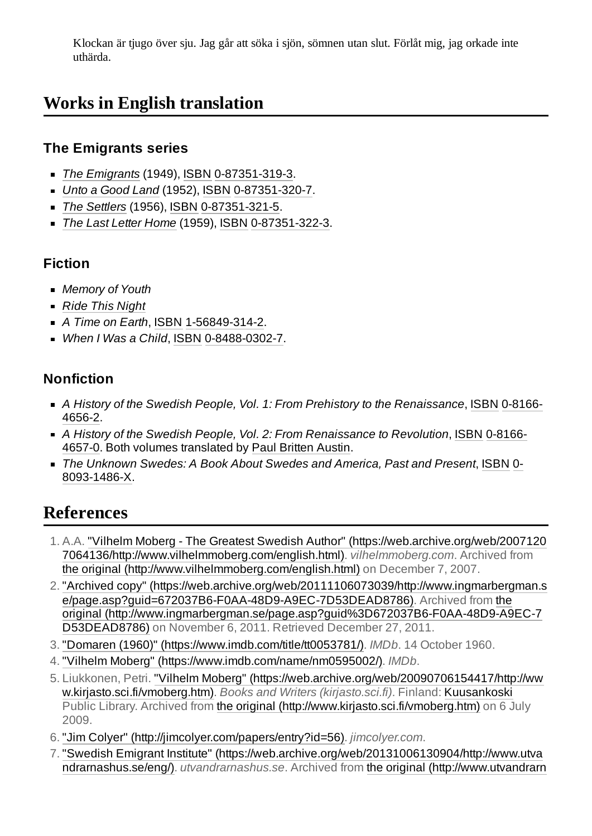Klockan är tjugo över sju. Jag går att söka i sjön, sömnen utan slut. Förlåt mig, jag orkade inte uthärda.

# <span id="page-3-0"></span>**Works in English translation**

#### <span id="page-3-1"></span>**The Emigrants series**

- *The [Emigrants](https://en.wikipedia.org/wiki/The_Emigrants_(Swedish_novel))* (1949), [ISBN](https://en.wikipedia.org/wiki/ISBN_(identifier)) [0-87351-319-3.](https://en.wikipedia.org/wiki/Special:BookSources/0-87351-319-3)
- *Unto a [Good](https://en.wikipedia.org/wiki/Unto_a_Good_Land) Land* (1952), [ISBN](https://en.wikipedia.org/wiki/ISBN_(identifier)) [0-87351-320-7](https://en.wikipedia.org/wiki/Special:BookSources/0-87351-320-7).
- *The [Settlers](https://en.wikipedia.org/wiki/The_Settlers_(novel))* (1956), [ISBN](https://en.wikipedia.org/wiki/ISBN_(identifier)) [0-87351-321-5](https://en.wikipedia.org/wiki/Special:BookSources/0-87351-321-5).
- *The Last Letter [Home](https://en.wikipedia.org/wiki/The_Last_Letter_Home)* (1959), [ISBN](https://en.wikipedia.org/wiki/ISBN_(identifier)) [0-87351-322-3.](https://en.wikipedia.org/wiki/Special:BookSources/0-87351-322-3)

#### <span id="page-3-2"></span>**Fiction**

- *Memory of Youth*
- *Ride [This Night](https://en.wikipedia.org/wiki/Ride_This_Night_(novel))*
- *A Time on Earth*, [ISBN](https://en.wikipedia.org/wiki/ISBN_(identifier)) [1-56849-314-2.](https://en.wikipedia.org/wiki/Special:BookSources/1-56849-314-2)
- *When I Was a Child*, [ISBN](https://en.wikipedia.org/wiki/ISBN_(identifier)) [0-8488-0302-7.](https://en.wikipedia.org/wiki/Special:BookSources/0-8488-0302-7)

#### <span id="page-3-3"></span>**Nonfiction**

- *A History of the Swedish People, Vol. 1: From Prehistory to the [Renaissance](https://en.wikipedia.org/wiki/Special:BookSources/0-8166-4656-2)*, [ISBN](https://en.wikipedia.org/wiki/ISBN_(identifier)) 0-8166- 4656-2.
- *A History of the Swedish People, Vol. 2: From Renaissance to Revolution*, [ISBN](https://en.wikipedia.org/wiki/ISBN_(identifier)) 0-8166- 4657-0. Both [volumes translated](https://en.wikipedia.org/wiki/Special:BookSources/0-8166-4657-0) by Paul [Britten](https://en.wikipedia.org/wiki/Paul_Britten_Austin) Austin.
- *The Unknown Swedes: A Book About Swedes and America, Past and Present*, [ISBN](https://en.wikipedia.org/wiki/ISBN_(identifier)) 0- [8093-1486-X.](https://en.wikipedia.org/wiki/Special:BookSources/0-8093-1486-X)

# <span id="page-3-4"></span>**References**

- <span id="page-3-5"></span>1. A.A. "Vilhelm Moberg - The Greatest Swedish Author" (https://web.archive.org/web/2007120 [7064136/http://www.vilhelmmoberg.com/english.html\).](https://web.archive.org/web/20071207064136/http://www.vilhelmmoberg.com/english.html) *vilhelmmoberg.com*. Archived from the original [\(http://www.vilhelmmoberg.com/english.html\)](http://www.vilhelmmoberg.com/english.html) on December 7, 2007.
- <span id="page-3-6"></span>2. "Archived copy" [\(https://web.archive.org/web/20111106073039/http://www.ingmarbergman.s](https://web.archive.org/web/20111106073039/http://www.ingmarbergman.se/page.asp?guid=672037B6-F0AA-48D9-A9EC-7D53DEAD8786) e/page.asp?guid=672037B6-F0AA-48D9-A9EC-7D53DEAD8786). Archived from the original [\(http://www.ingmarbergman.se/page.asp?guid%3D672037B6-F0AA-48D9-A9EC-7](http://www.ingmarbergman.se/page.asp?guid%3D672037B6-F0AA-48D9-A9EC-7D53DEAD8786) D53DEAD8786) on November 6, 2011. Retrieved December 27, 2011.
- <span id="page-3-7"></span>3. "Domaren (1960)" [\(https://www.imdb.com/title/tt0053781/\).](https://www.imdb.com/title/tt0053781/) *IMDb*. 14 October 1960.
- <span id="page-3-8"></span>4. "Vilhelm Moberg" [\(https://www.imdb.com/name/nm0595002/\).](https://www.imdb.com/name/nm0595002/) *IMDb*.
- <span id="page-3-9"></span>5. Liukkonen, Petri. "Vilhelm Moberg" [\(https://web.archive.org/web/20090706154417/http://ww](https://web.archive.org/web/20090706154417/http://www.kirjasto.sci.fi/vmoberg.htm) w.kirjasto.sci.fi/vmoberg.htm). *Books and Writers (kirjasto.sci.fi)*. Finland: [Kuusankoski](https://en.wikipedia.org/wiki/Kuusankoski) Public Library. Archived from the original [\(http://www.kirjasto.sci.fi/vmoberg.htm\)](http://www.kirjasto.sci.fi/vmoberg.htm) on 6 July 2009.
- <span id="page-3-10"></span>6. "Jim Colyer" [\(http://jimcolyer.com/papers/entry?id=56\).](http://jimcolyer.com/papers/entry?id=56) *jimcolyer.com*.
- <span id="page-3-11"></span>7. "Swedish Emigrant Institute" [\(https://web.archive.org/web/20131006130904/http://www.utva](https://web.archive.org/web/20131006130904/http://www.utvandrarnashus.se/eng/) ndrarnashus.se/eng/). *utvandrarnashus.se*. Archived from the original [\(http://www.utvandrarn](http://www.utvandrarnashus.se/eng/)